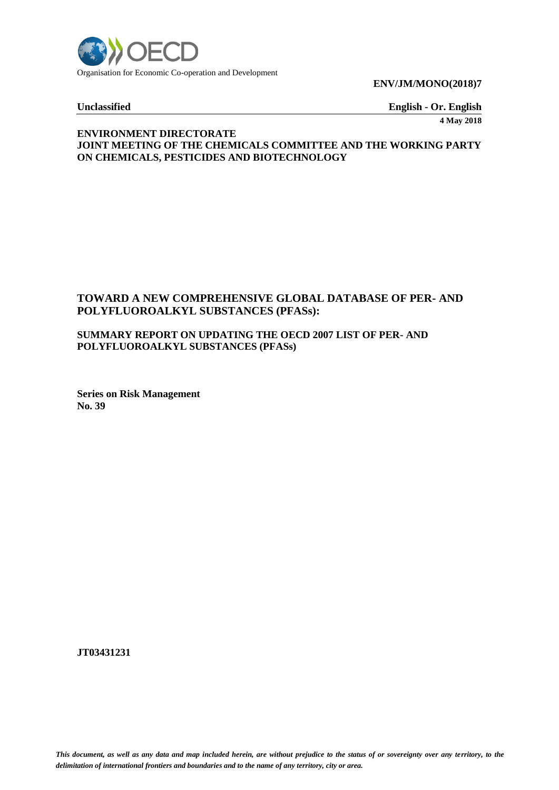

**ENV/JM/MONO(2018)7**

**Unclassified English - Or. English**

**4 May 2018**

## **ENVIRONMENT DIRECTORATE JOINT MEETING OF THE CHEMICALS COMMITTEE AND THE WORKING PARTY ON CHEMICALS, PESTICIDES AND BIOTECHNOLOGY**

## **TOWARD A NEW COMPREHENSIVE GLOBAL DATABASE OF PER- AND POLYFLUOROALKYL SUBSTANCES (PFASs):**

## **SUMMARY REPORT ON UPDATING THE OECD 2007 LIST OF PER- AND POLYFLUOROALKYL SUBSTANCES (PFASs)**

**Series on Risk Management No. 39**

**JT03431231**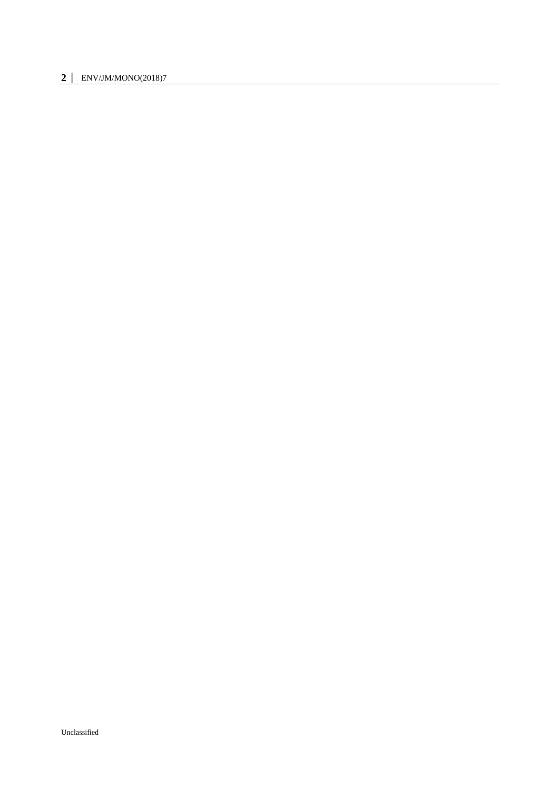# **2 │** ENV/JM/MONO(2018)7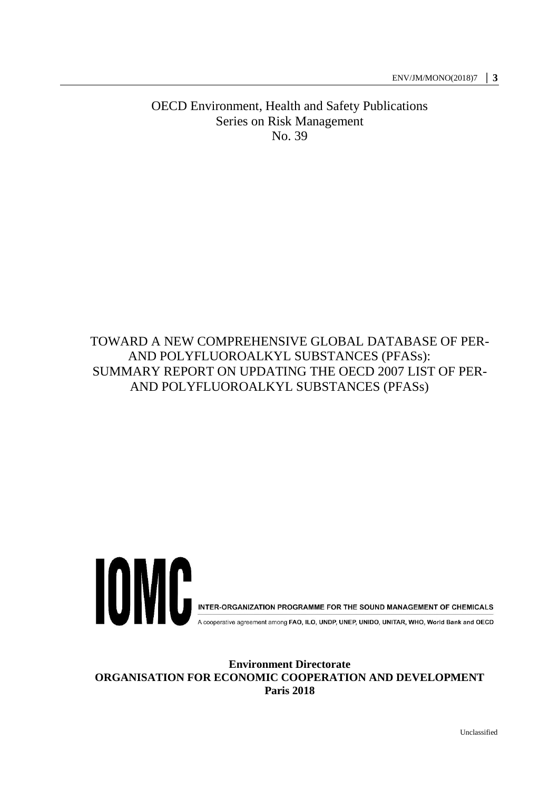# OECD Environment, Health and Safety Publications Series on Risk Management No. 39

# TOWARD A NEW COMPREHENSIVE GLOBAL DATABASE OF PER-AND POLYFLUOROALKYL SUBSTANCES (PFASs): SUMMARY REPORT ON UPDATING THE OECD 2007 LIST OF PER-AND POLYFLUOROALKYL SUBSTANCES (PFASs)



A cooperative agreement among FAO, ILO, UNDP, UNEP, UNIDO, UNITAR, WHO, World Bank and OECD

**Environment Directorate ORGANISATION FOR ECONOMIC COOPERATION AND DEVELOPMENT Paris 2018**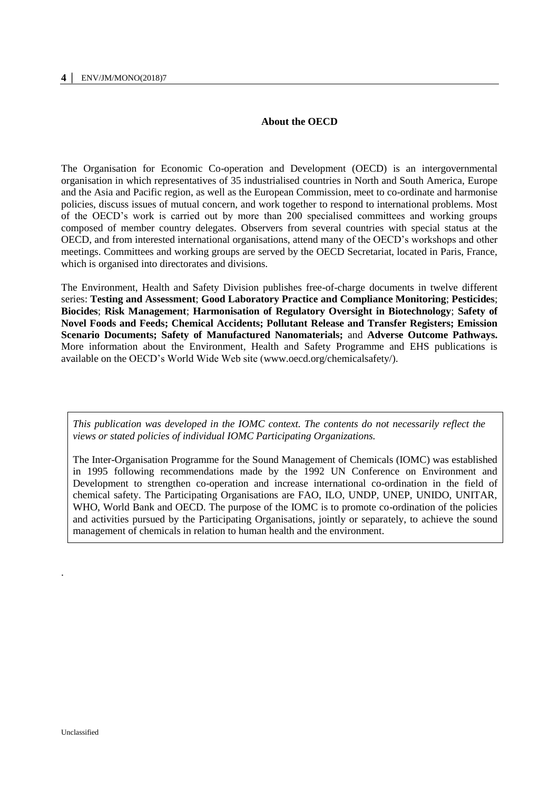## **About the OECD**

The Organisation for Economic Co-operation and Development (OECD) is an intergovernmental organisation in which representatives of 35 industrialised countries in North and South America, Europe and the Asia and Pacific region, as well as the European Commission, meet to co-ordinate and harmonise policies, discuss issues of mutual concern, and work together to respond to international problems. Most of the OECD's work is carried out by more than 200 specialised committees and working groups composed of member country delegates. Observers from several countries with special status at the OECD, and from interested international organisations, attend many of the OECD's workshops and other meetings. Committees and working groups are served by the OECD Secretariat, located in Paris, France, which is organised into directorates and divisions.

The Environment, Health and Safety Division publishes free-of-charge documents in twelve different series: **Testing and Assessment**; **Good Laboratory Practice and Compliance Monitoring**; **Pesticides**; **Biocides**; **Risk Management**; **Harmonisation of Regulatory Oversight in Biotechnology**; **Safety of Novel Foods and Feeds; Chemical Accidents; Pollutant Release and Transfer Registers; Emission Scenario Documents; Safety of Manufactured Nanomaterials;** and **Adverse Outcome Pathways.**  More information about the Environment, Health and Safety Programme and EHS publications is available on the OECD's World Wide Web site (www.oecd.org/chemicalsafety/).

*This publication was developed in the IOMC context. The contents do not necessarily reflect the views or stated policies of individual IOMC Participating Organizations.*

The Inter-Organisation Programme for the Sound Management of Chemicals (IOMC) was established in 1995 following recommendations made by the 1992 UN Conference on Environment and Development to strengthen co-operation and increase international co-ordination in the field of chemical safety. The Participating Organisations are FAO, ILO, UNDP, UNEP, UNIDO, UNITAR, WHO, World Bank and OECD. The purpose of the IOMC is to promote co-ordination of the policies and activities pursued by the Participating Organisations, jointly or separately, to achieve the sound management of chemicals in relation to human health and the environment.

.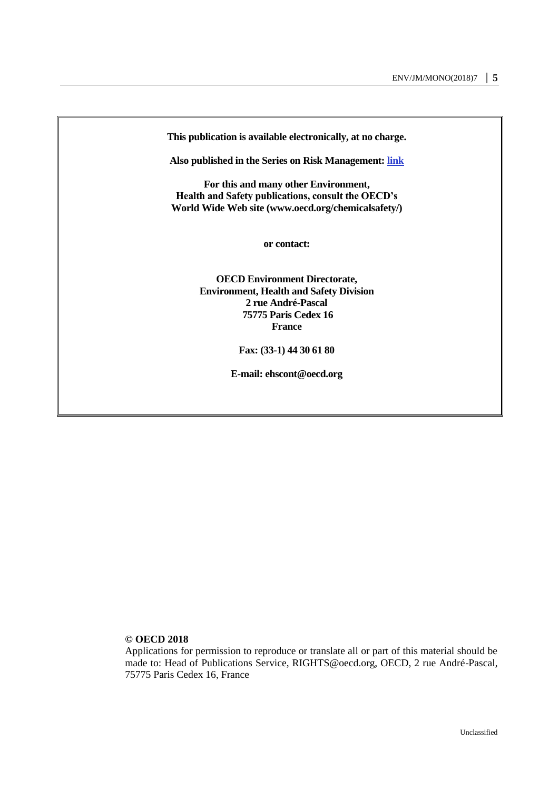**This publication is available electronically, at no charge.**

**Also published in the Series on Risk Management[: link](http://www.oecd.org/env/ehs/risk-management/series-on-risk-management-publications-by-number.htm)**

**For this and many other Environment, Health and Safety publications, consult the OECD's World Wide Web site (www.oecd.org/chemicalsafety/)**

**or contact:**

**OECD Environment Directorate, Environment, Health and Safety Division 2 rue André-Pascal 75775 Paris Cedex 16 France**

**Fax: (33-1) 44 30 61 80**

**E-mail: ehscont@oecd.org** 

#### **© OECD 2018**

Applications for permission to reproduce or translate all or part of this material should be made to: Head of Publications Service, RIGHTS@oecd.org, OECD, 2 rue André-Pascal, 75775 Paris Cedex 16, France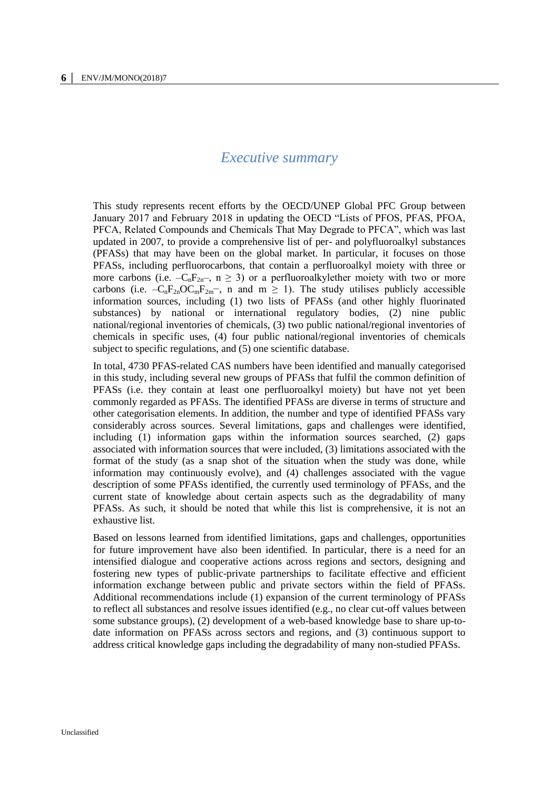# *Executive summary*

This study represents recent efforts by the OECD/UNEP Global PFC Group between January 2017 and February 2018 in updating the OECD "Lists of PFOS, PFAS, PFOA, PFCA, Related Compounds and Chemicals That May Degrade to PFCA", which was last updated in 2007, to provide a comprehensive list of per- and polyfluoroalkyl substances (PFASs) that may have been on the global market. In particular, it focuses on those PFASs, including perfluorocarbons, that contain a perfluoroalkyl moiety with three or more carbons (i.e.  $-C_nF_{2n}$ ,  $n \ge 3$ ) or a perfluoroalkylether moiety with two or more carbons (i.e.  $-C_nF_{2n}OC_mF_{2m}$ , n and  $m \ge 1$ ). The study utilises publicly accessible information sources, including (1) two lists of PFASs (and other highly fluorinated substances) by national or international regulatory bodies, (2) nine public national/regional inventories of chemicals, (3) two public national/regional inventories of chemicals in specific uses, (4) four public national/regional inventories of chemicals subject to specific regulations, and (5) one scientific database.

In total, 4730 PFAS-related CAS numbers have been identified and manually categorised in this study, including several new groups of PFASs that fulfil the common definition of PFASs (i.e. they contain at least one perfluoroalkyl moiety) but have not yet been commonly regarded as PFASs. The identified PFASs are diverse in terms of structure and other categorisation elements. In addition, the number and type of identified PFASs vary considerably across sources. Several limitations, gaps and challenges were identified, including (1) information gaps within the information sources searched, (2) gaps associated with information sources that were included, (3) limitations associated with the format of the study (as a snap shot of the situation when the study was done, while information may continuously evolve), and (4) challenges associated with the vague description of some PFASs identified, the currently used terminology of PFASs, and the current state of knowledge about certain aspects such as the degradability of many PFASs. As such, it should be noted that while this list is comprehensive, it is not an exhaustive list.

Based on lessons learned from identified limitations, gaps and challenges, opportunities for future improvement have also been identified. In particular, there is a need for an intensified dialogue and cooperative actions across regions and sectors, designing and fostering new types of public-private partnerships to facilitate effective and efficient information exchange between public and private sectors within the field of PFASs. Additional recommendations include (1) expansion of the current terminology of PFASs to reflect all substances and resolve issues identified (e.g., no clear cut-off values between some substance groups), (2) development of a web-based knowledge base to share up-todate information on PFASs across sectors and regions, and (3) continuous support to address critical knowledge gaps including the degradability of many non-studied PFASs.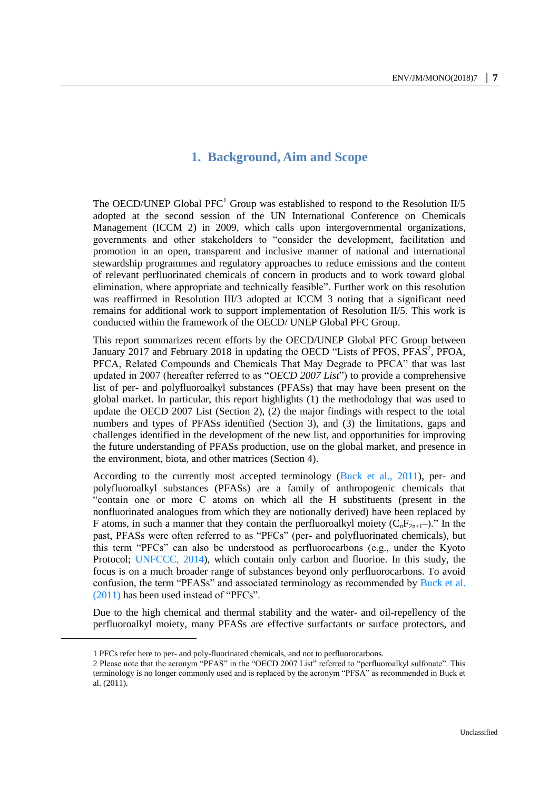# **1. Background, Aim and Scope**

The OECD/UNEP Global  $PFC<sup>1</sup>$  Group was established to respond to the Resolution II/5 adopted at the second session of the UN International Conference on Chemicals Management (ICCM 2) in 2009, which calls upon intergovernmental organizations, governments and other stakeholders to "consider the development, facilitation and promotion in an open, transparent and inclusive manner of national and international stewardship programmes and regulatory approaches to reduce emissions and the content of relevant perfluorinated chemicals of concern in products and to work toward global elimination, where appropriate and technically feasible". Further work on this resolution was reaffirmed in Resolution III/3 adopted at ICCM 3 noting that a significant need remains for additional work to support implementation of Resolution II/5. This work is conducted within the framework of the OECD/ UNEP Global PFC Group.

This report summarizes recent efforts by the OECD/UNEP Global PFC Group between January 2017 and February 2018 in updating the OECD "Lists of PFOS, PFAS<sup>2</sup>, PFOA, PFCA, Related Compounds and Chemicals That May Degrade to PFCA" that was last updated in 2007 (hereafter referred to as "*OECD 2007 List*") to provide a comprehensive list of per- and polyfluoroalkyl substances (PFASs) that may have been present on the global market. In particular, this report highlights (1) the methodology that was used to update the OECD 2007 List (Section 2), (2) the major findings with respect to the total numbers and types of PFASs identified (Section 3), and (3) the limitations, gaps and challenges identified in the development of the new list, and opportunities for improving the future understanding of PFASs production, use on the global market, and presence in the environment, biota, and other matrices (Section 4).

According to the currently most accepted terminology (Buck et al., 2011), per- and polyfluoroalkyl substances (PFASs) are a family of anthropogenic chemicals that "contain one or more C atoms on which all the H substituents (present in the nonfluorinated analogues from which they are notionally derived) have been replaced by F atoms, in such a manner that they contain the perfluoroalkyl moiety  $(C_nF_{2n+1}-)$ ." In the past, PFASs were often referred to as "PFCs" (per- and polyfluorinated chemicals), but this term "PFCs" can also be understood as perfluorocarbons (e.g., under the Kyoto Protocol; UNFCCC, 2014), which contain only carbon and fluorine. In this study, the focus is on a much broader range of substances beyond only perfluorocarbons. To avoid confusion, the term "PFASs" and associated terminology as recommended by Buck et al. (2011) has been used instead of "PFCs".

Due to the high chemical and thermal stability and the water- and oil-repellency of the perfluoroalkyl moiety, many PFASs are effective surfactants or surface protectors, and

 $\overline{a}$ 

<sup>1</sup> PFCs refer here to per- and poly-fluorinated chemicals, and not to perfluorocarbons.

<sup>2</sup> Please note that the acronym "PFAS" in the "OECD 2007 List" referred to "perfluoroalkyl sulfonate". This terminology is no longer commonly used and is replaced by the acronym "PFSA" as recommended in Buck et al. (2011).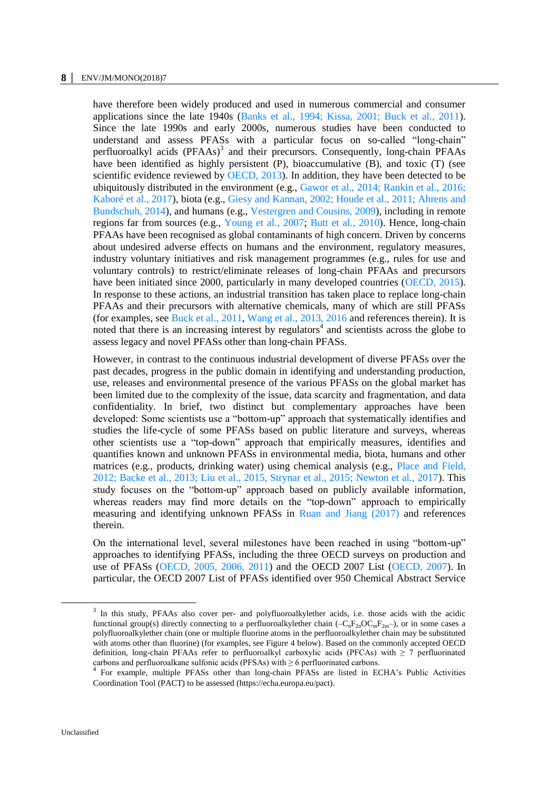have therefore been widely produced and used in numerous commercial and consumer applications since the late 1940s (Banks et al., 1994; Kissa, 2001; Buck et al., 2011). Since the late 1990s and early 2000s, numerous studies have been conducted to understand and assess PFASs with a particular focus on so-called "long-chain" perfluoroalkyl acids (PFAAs)<sup>3</sup> and their precursors. Consequently, long-chain PFAAs have been identified as highly persistent (P), bioaccumulative (B), and toxic (T) (see scientific evidence reviewed by OECD, 2013). In addition, they have been detected to be ubiquitously distributed in the environment (e.g., Gawor et al., 2014; Rankin et al., 2016; Kaboré et al., 2017), biota (e.g., Giesy and Kannan, 2002; Houde et al., 2011; Ahrens and Bundschuh, 2014), and humans (e.g., Vestergren and Cousins, 2009), including in remote regions far from sources (e.g., Young et al., 2007; Butt et al., 2010). Hence, long-chain PFAAs have been recognised as global contaminants of high concern. Driven by concerns about undesired adverse effects on humans and the environment, regulatory measures, industry voluntary initiatives and risk management programmes (e.g., rules for use and voluntary controls) to restrict/eliminate releases of long-chain PFAAs and precursors have been initiated since 2000, particularly in many developed countries (OECD, 2015). In response to these actions, an industrial transition has taken place to replace long-chain PFAAs and their precursors with alternative chemicals, many of which are still PFASs (for examples, see Buck et al., 2011, Wang et al., 2013, 2016 and references therein). It is noted that there is an increasing interest by regulators<sup>4</sup> and scientists across the globe to assess legacy and novel PFASs other than long-chain PFASs.

However, in contrast to the continuous industrial development of diverse PFASs over the past decades, progress in the public domain in identifying and understanding production, use, releases and environmental presence of the various PFASs on the global market has been limited due to the complexity of the issue, data scarcity and fragmentation, and data confidentiality. In brief, two distinct but complementary approaches have been developed: Some scientists use a "bottom-up" approach that systematically identifies and studies the life-cycle of some PFASs based on public literature and surveys, whereas other scientists use a "top-down" approach that empirically measures, identifies and quantifies known and unknown PFASs in environmental media, biota, humans and other matrices (e.g., products, drinking water) using chemical analysis (e.g., Place and Field, 2012; Backe et al., 2013; Liu et al., 2015, Strynar et al., 2015; Newton et al., 2017). This study focuses on the "bottom-up" approach based on publicly available information, whereas readers may find more details on the "top-down" approach to empirically measuring and identifying unknown PFASs in Ruan and Jiang (2017) and references therein.

On the international level, several milestones have been reached in using "bottom-up" approaches to identifying PFASs, including the three OECD surveys on production and use of PFASs (OECD, 2005, 2006, 2011) and the OECD 2007 List (OECD, 2007). In particular, the OECD 2007 List of PFASs identified over 950 Chemical Abstract Service

 $\overline{a}$ 

<sup>&</sup>lt;sup>3</sup> In this study, PFAAs also cover per- and polyfluoroalkylether acids, i.e. those acids with the acidic functional group(s) directly connecting to a perfluoroalkylether chain  $(-C_nF_{2n}OC_mF_{2m-})$ , or in some cases a polyfluoroalkylether chain (one or multiple fluorine atoms in the perfluoroalkylether chain may be substituted with atoms other than fluorine) (for examples, see Figure 4 below). Based on the commonly accepted OECD definition, long-chain PFAAs refer to perfluoroalkyl carboxylic acids (PFCAs) with  $\geq$  7 perfluorinated carbons and perfluoroalkane sulfonic acids (PFSAs) with  $\geq$  6 perfluorinated carbons.

<sup>4</sup> For example, multiple PFASs other than long-chain PFASs are listed in ECHA's Public Activities Coordination Tool (PACT) to be assessed [\(https://echa.europa.eu/pact\)](https://echa.europa.eu/pact).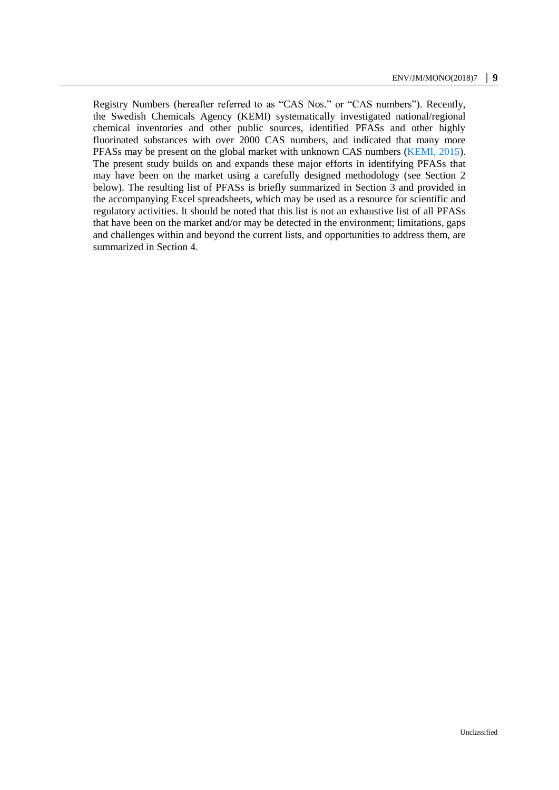Registry Numbers (hereafter referred to as "CAS Nos." or "CAS numbers"). Recently, the Swedish Chemicals Agency (KEMI) systematically investigated national/regional chemical inventories and other public sources, identified PFASs and other highly fluorinated substances with over 2000 CAS numbers, and indicated that many more PFASs may be present on the global market with unknown CAS numbers (KEMI, 2015). The present study builds on and expands these major efforts in identifying PFASs that may have been on the market using a carefully designed methodology (see Section 2 below). The resulting list of PFASs is briefly summarized in Section 3 and provided in the accompanying Excel spreadsheets, which may be used as a resource for scientific and regulatory activities. It should be noted that this list is not an exhaustive list of all PFASs that have been on the market and/or may be detected in the environment; limitations, gaps and challenges within and beyond the current lists, and opportunities to address them, are summarized in Section 4.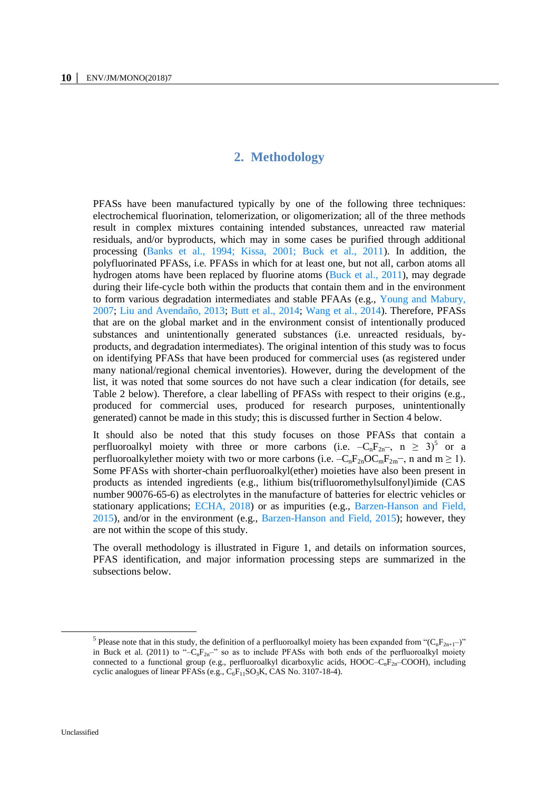## **2. Methodology**

PFASs have been manufactured typically by one of the following three techniques: electrochemical fluorination, telomerization, or oligomerization; all of the three methods result in complex mixtures containing intended substances, unreacted raw material residuals, and/or byproducts, which may in some cases be purified through additional processing (Banks et al., 1994; Kissa, 2001; Buck et al., 2011). In addition, the polyfluorinated PFASs, i.e. PFASs in which for at least one, but not all, carbon atoms all hydrogen atoms have been replaced by fluorine atoms (Buck et al., 2011), may degrade during their life-cycle both within the products that contain them and in the environment to form various degradation intermediates and stable PFAAs (e.g., Young and Mabury, 2007; Liu and Avendaño, 2013; Butt et al., 2014; Wang et al., 2014). Therefore, PFASs that are on the global market and in the environment consist of intentionally produced substances and unintentionally generated substances (i.e. unreacted residuals, byproducts, and degradation intermediates). The original intention of this study was to focus on identifying PFASs that have been produced for commercial uses (as registered under many national/regional chemical inventories). However, during the development of the list, it was noted that some sources do not have such a clear indication (for details, see Table 2 below). Therefore, a clear labelling of PFASs with respect to their origins (e.g., produced for commercial uses, produced for research purposes, unintentionally generated) cannot be made in this study; this is discussed further in Section 4 below.

It should also be noted that this study focuses on those PFASs that contain a perfluoroalkyl moiety with three or more carbons (i.e.  $-C_nF_{2n}$ ,  $n \ge 3$ )<sup>5</sup> or a perfluoroalkylether moiety with two or more carbons (i.e.  $-C_nF_{2n}OC_mF_{2m}$ , n and  $m \ge 1$ ). Some PFASs with shorter-chain perfluoroalkyl(ether) moieties have also been present in products as intended ingredients (e.g., lithium bis(trifluoromethylsulfonyl)imide (CAS number 90076-65-6) as electrolytes in the manufacture of batteries for electric vehicles or stationary applications; ECHA, 2018) or as impurities (e.g., Barzen-Hanson and Field, 2015), and/or in the environment (e.g., Barzen-Hanson and Field, 2015); however, they are not within the scope of this study.

The overall methodology is illustrated in Figure 1, and details on information sources, PFAS identification, and major information processing steps are summarized in the subsections below.

<sup>&</sup>lt;sup>5</sup> Please note that in this study, the definition of a perfluoroalkyl moiety has been expanded from " $(C_nF_{2n+1}$ -" in Buck et al. (2011) to " $-C_nF_{2n}$ " so as to include PFASs with both ends of the perfluoroalkyl moiety connected to a functional group (e.g., perfluoroalkyl dicarboxylic acids, HOOC–C<sub>n</sub>F<sub>2n</sub>–COOH), including cyclic analogues of linear PFASs (e.g., C<sub>6</sub>F<sub>11</sub>SO<sub>3</sub>K, CAS No. 3107-18-4).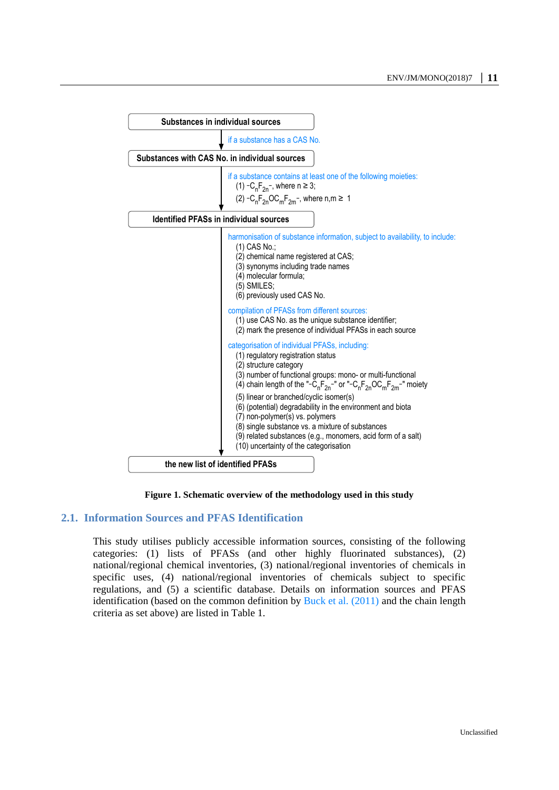

**Figure 1. Schematic overview of the methodology used in this study**

### **2.1. Information Sources and PFAS Identification**

This study utilises publicly accessible information sources, consisting of the following categories: (1) lists of PFASs (and other highly fluorinated substances), (2) national/regional chemical inventories, (3) national/regional inventories of chemicals in specific uses, (4) national/regional inventories of chemicals subject to specific regulations, and (5) a scientific database. Details on information sources and PFAS identification (based on the common definition by Buck et al.  $(2011)$  and the chain length criteria as set above) are listed in Table 1.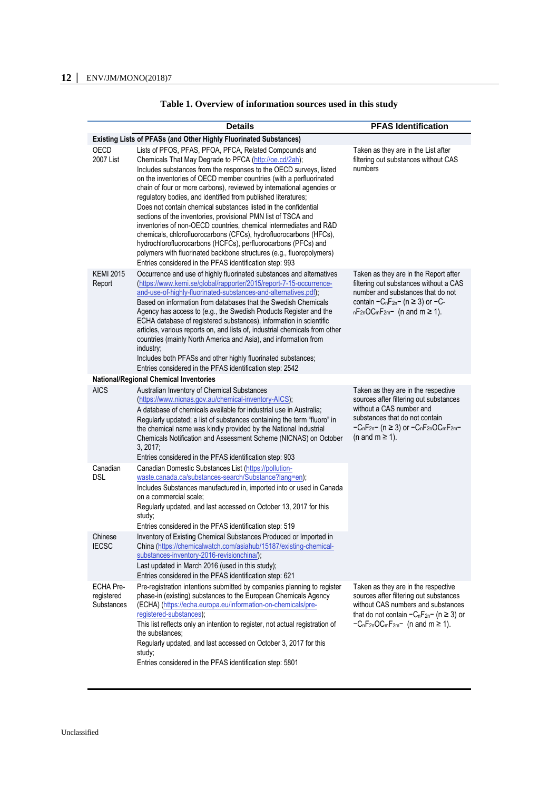|                                              | <b>Details</b>                                                                                                                                                                                                                                                                                                                                                                                                                                                                                                                                                                                                                                                                                                                                                                                                                                                                           | <b>PFAS Identification</b>                                                                                                                                                                                                |  |
|----------------------------------------------|------------------------------------------------------------------------------------------------------------------------------------------------------------------------------------------------------------------------------------------------------------------------------------------------------------------------------------------------------------------------------------------------------------------------------------------------------------------------------------------------------------------------------------------------------------------------------------------------------------------------------------------------------------------------------------------------------------------------------------------------------------------------------------------------------------------------------------------------------------------------------------------|---------------------------------------------------------------------------------------------------------------------------------------------------------------------------------------------------------------------------|--|
|                                              | Existing Lists of PFASs (and Other Highly Fluorinated Substances)                                                                                                                                                                                                                                                                                                                                                                                                                                                                                                                                                                                                                                                                                                                                                                                                                        |                                                                                                                                                                                                                           |  |
| OECD<br>2007 List                            | Lists of PFOS, PFAS, PFOA, PFCA, Related Compounds and<br>Chemicals That May Degrade to PFCA (http://oe.cd/2ah);<br>Includes substances from the responses to the OECD surveys, listed<br>on the inventories of OECD member countries (with a perfluorinated<br>chain of four or more carbons), reviewed by international agencies or<br>regulatory bodies, and identified from published literatures;<br>Does not contain chemical substances listed in the confidential<br>sections of the inventories, provisional PMN list of TSCA and<br>inventories of non-OECD countries, chemical intermediates and R&D<br>chemicals, chlorofluorocarbons (CFCs), hydrofluorocarbons (HFCs),<br>hydrochlorofluorocarbons (HCFCs), perfluorocarbons (PFCs) and<br>polymers with fluorinated backbone structures (e.g., fluoropolymers)<br>Entries considered in the PFAS identification step: 993 | Taken as they are in the List after<br>filtering out substances without CAS<br>numbers                                                                                                                                    |  |
| <b>KEMI 2015</b><br>Report                   | Occurrence and use of highly fluorinated substances and alternatives<br>(https://www.kemi.se/global/rapporter/2015/report-7-15-occurrence-<br>and-use-of-highly-fluorinated-substances-and-alternatives.pdf);<br>Based on information from databases that the Swedish Chemicals<br>Agency has access to (e.g., the Swedish Products Register and the<br>ECHA database of registered substances), information in scientific<br>articles, various reports on, and lists of, industrial chemicals from other<br>countries (mainly North America and Asia), and information from<br>industry;<br>Includes both PFASs and other highly fluorinated substances;<br>Entries considered in the PFAS identification step: 2542                                                                                                                                                                    | Taken as they are in the Report after<br>filtering out substances without a CAS<br>number and substances that do not<br>contain $-C_nF_{2n}$ (n $\geq$ 3) or $-C$ -<br>$nF_{2n}OC_mF_{2m}$ (n and m $\geq$ 1).            |  |
|                                              | <b>National/Regional Chemical Inventories</b>                                                                                                                                                                                                                                                                                                                                                                                                                                                                                                                                                                                                                                                                                                                                                                                                                                            |                                                                                                                                                                                                                           |  |
| <b>AICS</b>                                  | Australian Inventory of Chemical Substances<br>(https://www.nicnas.gov.au/chemical-inventory-AICS);<br>A database of chemicals available for industrial use in Australia;<br>Regularly updated; a list of substances containing the term "fluoro" in<br>the chemical name was kindly provided by the National Industrial<br>Chemicals Notification and Assessment Scheme (NICNAS) on October<br>3, 2017;<br>Entries considered in the PFAS identification step: 903                                                                                                                                                                                                                                                                                                                                                                                                                      | Taken as they are in the respective<br>sources after filtering out substances<br>without a CAS number and<br>substances that do not contain<br>$-C_nF_{2n}$ (n $\geq$ 3) or $-C_nF_{2n}OC_mF_{2m}$<br>(n and $m \ge 1$ ). |  |
| Canadian<br><b>DSL</b><br>Chinese            | Canadian Domestic Substances List (https://pollution-<br>waste.canada.ca/substances-search/Substance?lang=en);<br>Includes Substances manufactured in, imported into or used in Canada<br>on a commercial scale:<br>Regularly updated, and last accessed on October 13, 2017 for this<br>study;<br>Entries considered in the PFAS identification step: 519<br>Inventory of Existing Chemical Substances Produced or Imported in                                                                                                                                                                                                                                                                                                                                                                                                                                                          |                                                                                                                                                                                                                           |  |
| <b>IECSC</b>                                 | China (https://chemicalwatch.com/asiahub/15187/existing-chemical-<br>substances-inventory-2016-revisionchina/);<br>Last updated in March 2016 (used in this study);<br>Entries considered in the PFAS identification step: 621                                                                                                                                                                                                                                                                                                                                                                                                                                                                                                                                                                                                                                                           |                                                                                                                                                                                                                           |  |
| <b>ECHA Pre-</b><br>registered<br>Substances | Pre-registration intentions submitted by companies planning to register<br>phase-in (existing) substances to the European Chemicals Agency<br>(ECHA) (https://echa.europa.eu/information-on-chemicals/pre-<br>registered-substances);<br>This list reflects only an intention to register, not actual registration of<br>the substances:<br>Regularly updated, and last accessed on October 3, 2017 for this<br>study;<br>Entries considered in the PFAS identification step: 5801                                                                                                                                                                                                                                                                                                                                                                                                       | Taken as they are in the respective<br>sources after filtering out substances<br>without CAS numbers and substances<br>that do not contain $-C_nF_{2n}$ (n ≥ 3) or<br>$-C_nF_{2n}OC_mF_{2m}$ (n and m $\geq$ 1).          |  |

## **Table 1. Overview of information sources used in this study**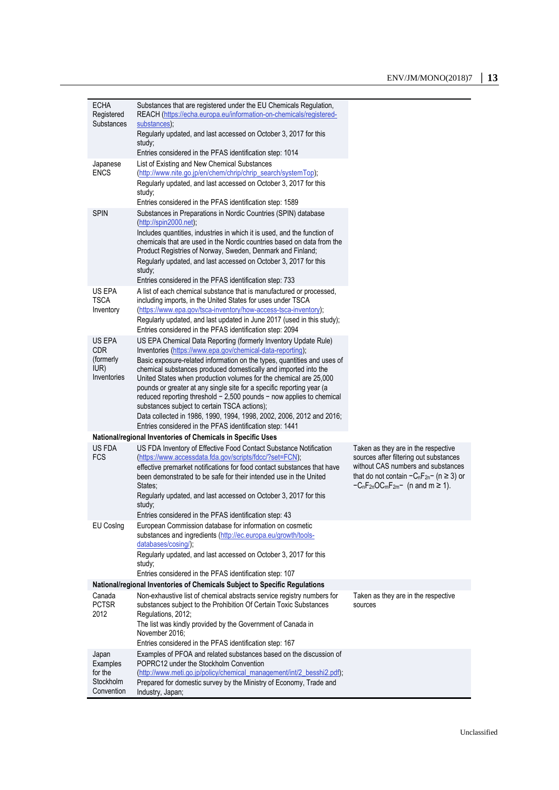| <b>ECHA</b><br>Registered<br>Substances                                    | Substances that are registered under the EU Chemicals Regulation,<br>REACH (https://echa.europa.eu/information-on-chemicals/registered-<br>substances);<br>Regularly updated, and last accessed on October 3, 2017 for this<br>study;<br>Entries considered in the PFAS identification step: 1014                                                                                                                                                                                                                                                                                                                                                                                        |                                                                                                                                                                                                                       |  |  |
|----------------------------------------------------------------------------|------------------------------------------------------------------------------------------------------------------------------------------------------------------------------------------------------------------------------------------------------------------------------------------------------------------------------------------------------------------------------------------------------------------------------------------------------------------------------------------------------------------------------------------------------------------------------------------------------------------------------------------------------------------------------------------|-----------------------------------------------------------------------------------------------------------------------------------------------------------------------------------------------------------------------|--|--|
| Japanese<br><b>ENCS</b>                                                    | List of Existing and New Chemical Substances<br>(http://www.nite.go.jp/en/chem/chrip/chrip_search/systemTop);<br>Regularly updated, and last accessed on October 3, 2017 for this<br>study;<br>Entries considered in the PFAS identification step: 1589                                                                                                                                                                                                                                                                                                                                                                                                                                  |                                                                                                                                                                                                                       |  |  |
| <b>SPIN</b>                                                                | Substances in Preparations in Nordic Countries (SPIN) database<br>(http://spin2000.net);<br>Includes quantities, industries in which it is used, and the function of<br>chemicals that are used in the Nordic countries based on data from the<br>Product Registries of Norway, Sweden, Denmark and Finland;<br>Regularly updated, and last accessed on October 3, 2017 for this<br>study;<br>Entries considered in the PFAS identification step: 733                                                                                                                                                                                                                                    |                                                                                                                                                                                                                       |  |  |
| US EPA<br>TSCA<br>Inventory                                                | A list of each chemical substance that is manufactured or processed,<br>including imports, in the United States for uses under TSCA<br>(https://www.epa.gov/tsca-inventory/how-access-tsca-inventory);<br>Regularly updated, and last updated in June 2017 (used in this study);<br>Entries considered in the PFAS identification step: 2094                                                                                                                                                                                                                                                                                                                                             |                                                                                                                                                                                                                       |  |  |
| US EPA<br><b>CDR</b><br>(formerly<br>IUR)<br>Inventories                   | US EPA Chemical Data Reporting (formerly Inventory Update Rule)<br>Inventories (https://www.epa.gov/chemical-data-reporting);<br>Basic exposure-related information on the types, quantities and uses of<br>chemical substances produced domestically and imported into the<br>United States when production volumes for the chemical are 25,000<br>pounds or greater at any single site for a specific reporting year (a<br>reduced reporting threshold $-2,500$ pounds $-$ now applies to chemical<br>substances subject to certain TSCA actions);<br>Data collected in 1986, 1990, 1994, 1998, 2002, 2006, 2012 and 2016;<br>Entries considered in the PFAS identification step: 1441 |                                                                                                                                                                                                                       |  |  |
|                                                                            | National/regional Inventories of Chemicals in Specific Uses                                                                                                                                                                                                                                                                                                                                                                                                                                                                                                                                                                                                                              |                                                                                                                                                                                                                       |  |  |
| <b>US FDA</b><br><b>FCS</b>                                                | US FDA Inventory of Effective Food Contact Substance Notification<br>(https://www.accessdata.fda.gov/scripts/fdcc/?set=FCN);<br>effective premarket notifications for food contact substances that have<br>been demonstrated to be safe for their intended use in the United<br>States:<br>Regularly updated, and last accessed on October 3, 2017 for this<br>study;<br>Entries considered in the PFAS identification step: 43                                                                                                                                                                                                                                                          | Taken as they are in the respective<br>sources after filtering out substances<br>without CAS numbers and substances<br>that do not contain $-C_nF_{2n}$ (n $\geq$ 3) or<br>$-C_nF_{2n}OC_mF_{2m}$ (n and m $\geq$ 1). |  |  |
| <b>EU Cosing</b>                                                           | European Commission database for information on cosmetic<br>substances and ingredients (http://ec.europa.eu/growth/tools-<br>databases/cosing/);<br>Regularly updated, and last accessed on October 3, 2017 for this<br>study;<br>Entries considered in the PFAS identification step: 107                                                                                                                                                                                                                                                                                                                                                                                                |                                                                                                                                                                                                                       |  |  |
| National/regional Inventories of Chemicals Subject to Specific Regulations |                                                                                                                                                                                                                                                                                                                                                                                                                                                                                                                                                                                                                                                                                          |                                                                                                                                                                                                                       |  |  |
| Canada<br><b>PCTSR</b><br>2012                                             | Non-exhaustive list of chemical abstracts service registry numbers for<br>substances subject to the Prohibition Of Certain Toxic Substances<br>Regulations, 2012;<br>The list was kindly provided by the Government of Canada in<br>November 2016;<br>Entries considered in the PFAS identification step: 167                                                                                                                                                                                                                                                                                                                                                                            | Taken as they are in the respective<br>sources                                                                                                                                                                        |  |  |
| Japan<br>Examples<br>for the<br>Stockholm<br>Convention                    | Examples of PFOA and related substances based on the discussion of<br>POPRC12 under the Stockholm Convention<br>(http://www.meti.go.jp/policy/chemical_management/int/2_besshi2.pdf);<br>Prepared for domestic survey by the Ministry of Economy, Trade and<br>Industry, Japan;                                                                                                                                                                                                                                                                                                                                                                                                          |                                                                                                                                                                                                                       |  |  |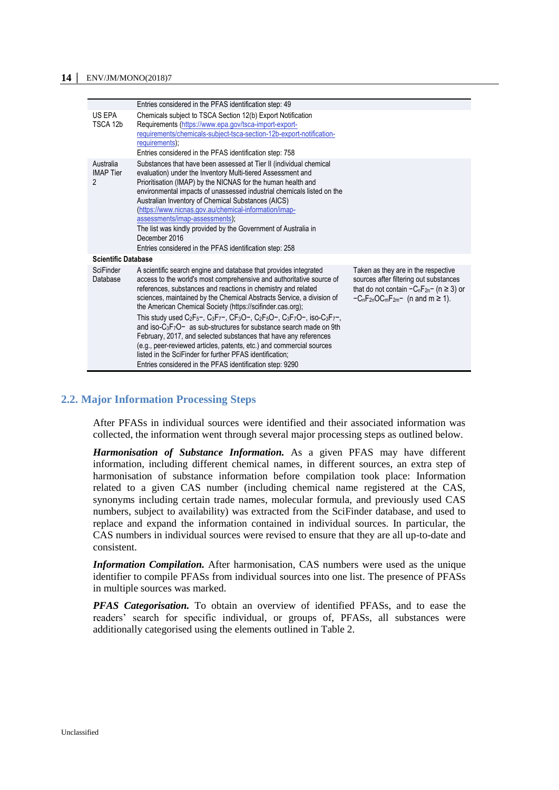|                                                 | Entries considered in the PFAS identification step: 49                                                                                                                                                                                                                                                                                                                                                                                                                                                                                                                                                                                                                                                                                                                                   |                                                                                                                                                                                 |  |  |  |
|-------------------------------------------------|------------------------------------------------------------------------------------------------------------------------------------------------------------------------------------------------------------------------------------------------------------------------------------------------------------------------------------------------------------------------------------------------------------------------------------------------------------------------------------------------------------------------------------------------------------------------------------------------------------------------------------------------------------------------------------------------------------------------------------------------------------------------------------------|---------------------------------------------------------------------------------------------------------------------------------------------------------------------------------|--|--|--|
| US EPA<br>TSCA 12b                              | Chemicals subject to TSCA Section 12(b) Export Notification<br>Requirements (https://www.epa.gov/tsca-import-export-<br>requirements/chemicals-subject-tsca-section-12b-export-notification-<br>requirements);<br>Entries considered in the PFAS identification step: 758                                                                                                                                                                                                                                                                                                                                                                                                                                                                                                                |                                                                                                                                                                                 |  |  |  |
| Australia<br><b>IMAP</b> Tier<br>$\mathfrak{p}$ | Substances that have been assessed at Tier II (individual chemical<br>evaluation) under the Inventory Multi-tiered Assessment and<br>Prioritisation (IMAP) by the NICNAS for the human health and<br>environmental impacts of unassessed industrial chemicals listed on the<br>Australian Inventory of Chemical Substances (AICS)<br>(https://www.nicnas.gov.au/chemical-information/imap-<br>assessments/imap-assessments);<br>The list was kindly provided by the Government of Australia in<br>December 2016<br>Entries considered in the PFAS identification step: 258                                                                                                                                                                                                               |                                                                                                                                                                                 |  |  |  |
| <b>Scientific Database</b>                      |                                                                                                                                                                                                                                                                                                                                                                                                                                                                                                                                                                                                                                                                                                                                                                                          |                                                                                                                                                                                 |  |  |  |
| SciFinder<br>Database                           | A scientific search engine and database that provides integrated<br>access to the world's most comprehensive and authoritative source of<br>references, substances and reactions in chemistry and related<br>sciences, maintained by the Chemical Abstracts Service, a division of<br>the American Chemical Society (https://scifinder.cas.org);<br>This study used $C_2F_5$ , $C_3F_7$ , $CF_3O$ , $C_2F_5O$ , $C_3F_7O$ , iso- $C_3F_7$ ,<br>and iso- $C_3F_7O$ as sub-structures for substance search made on 9th<br>February, 2017, and selected substances that have any references<br>(e.g., peer-reviewed articles, patents, etc.) and commercial sources<br>listed in the SciFinder for further PFAS identification:<br>Entries considered in the PFAS identification step: 9290 | Taken as they are in the respective<br>sources after filtering out substances<br>that do not contain $-C_nF_{2n}$ (n $\geq$ 3) or<br>$-C_nF_{2n}OC_mF_{2m}$ (n and m $\geq$ 1). |  |  |  |

## **2.2. Major Information Processing Steps**

After PFASs in individual sources were identified and their associated information was collected, the information went through several major processing steps as outlined below.

*Harmonisation of Substance Information.* As a given PFAS may have different information, including different chemical names, in different sources, an extra step of harmonisation of substance information before compilation took place: Information related to a given CAS number (including chemical name registered at the CAS, synonyms including certain trade names, molecular formula, and previously used CAS numbers, subject to availability) was extracted from the SciFinder database, and used to replace and expand the information contained in individual sources. In particular, the CAS numbers in individual sources were revised to ensure that they are all up-to-date and consistent.

*Information Compilation.* After harmonisation, CAS numbers were used as the unique identifier to compile PFASs from individual sources into one list. The presence of PFASs in multiple sources was marked.

*PFAS Categorisation.* To obtain an overview of identified PFASs, and to ease the readers' search for specific individual, or groups of, PFASs, all substances were additionally categorised using the elements outlined in Table 2.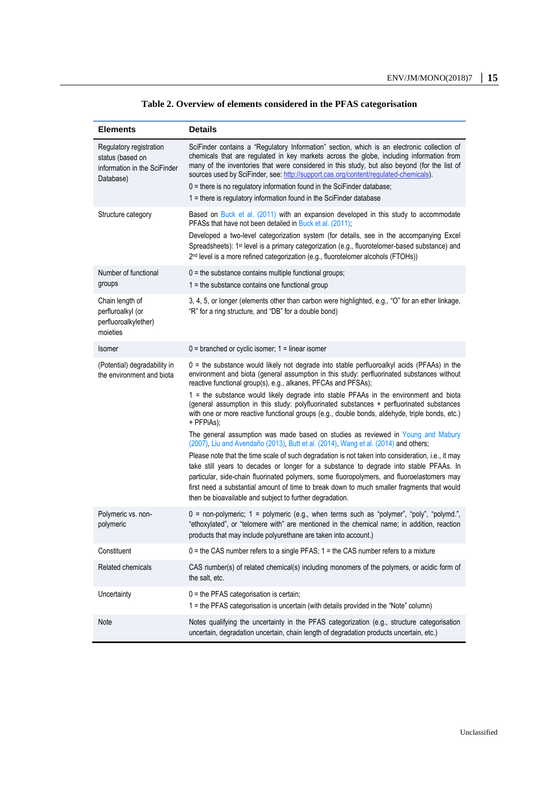| <b>Elements</b>                                                                          | <b>Details</b>                                                                                                                                                                                                                                                                                                                                                                                                                                                                                                                                                                                                                                                                                                                                                                                                                                     |  |  |
|------------------------------------------------------------------------------------------|----------------------------------------------------------------------------------------------------------------------------------------------------------------------------------------------------------------------------------------------------------------------------------------------------------------------------------------------------------------------------------------------------------------------------------------------------------------------------------------------------------------------------------------------------------------------------------------------------------------------------------------------------------------------------------------------------------------------------------------------------------------------------------------------------------------------------------------------------|--|--|
| Regulatory registration<br>status (based on<br>information in the SciFinder<br>Database) | SciFinder contains a "Regulatory Information" section, which is an electronic collection of<br>chemicals that are regulated in key markets across the globe, including information from<br>many of the inventories that were considered in this study, but also beyond (for the list of<br>sources used by SciFinder, see: http://support.cas.org/content/regulated-chemicals).<br>0 = there is no regulatory information found in the SciFinder database;<br>1 = there is regulatory information found in the SciFinder database                                                                                                                                                                                                                                                                                                                  |  |  |
| Structure category                                                                       | Based on Buck et al. (2011) with an expansion developed in this study to accommodate<br>PFASs that have not been detailed in Buck et al. (2011);<br>Developed a two-level categorization system (for details, see in the accompanying Excel<br>Spreadsheets): 1 <sup>st</sup> level is a primary categorization (e.g., fluorotelomer-based substance) and<br>2 <sup>nd</sup> level is a more refined categorization (e.g., fluorotelomer alcohols (FTOHs))                                                                                                                                                                                                                                                                                                                                                                                         |  |  |
| Number of functional<br>groups                                                           | $0 =$ the substance contains multiple functional groups;<br>$1 =$ the substance contains one functional group                                                                                                                                                                                                                                                                                                                                                                                                                                                                                                                                                                                                                                                                                                                                      |  |  |
| Chain length of<br>perfluroalkyl (or<br>perfluoroalkylether)<br>moieties                 | 3, 4, 5, or longer (elements other than carbon were highlighted, e.g., "O" for an ether linkage,<br>"R" for a ring structure, and "DB" for a double bond)                                                                                                                                                                                                                                                                                                                                                                                                                                                                                                                                                                                                                                                                                          |  |  |
| <b>Isomer</b>                                                                            | $0 =$ branched or cyclic isomer; $1 =$ linear isomer                                                                                                                                                                                                                                                                                                                                                                                                                                                                                                                                                                                                                                                                                                                                                                                               |  |  |
| (Potential) degradability in<br>the environment and biota                                | $0 =$ the substance would likely not degrade into stable perfluoroalkyl acids (PFAAs) in the<br>environment and biota (general assumption in this study: perfluorinated substances without<br>reactive functional group(s), e.g., alkanes, PFCAs and PFSAs);<br>1 = the substance would likely degrade into stable PFAAs in the environment and biota<br>(general assumption in this study: polyfluorinated substances + perfluorinated substances<br>with one or more reactive functional groups (e.g., double bonds, aldehyde, triple bonds, etc.)<br>+ PFPiAs);<br>The general assumption was made based on studies as reviewed in Young and Mabury<br>(2007), Liu and Avendaño (2013), Butt et al. (2014), Wang et al. (2014) and others;<br>Please note that the time scale of such degradation is not taken into consideration, i.e., it may |  |  |
|                                                                                          | take still years to decades or longer for a substance to degrade into stable PFAAs. In<br>particular, side-chain fluorinated polymers, some fluoropolymers, and fluoroelastomers may<br>first need a substantial amount of time to break down to much smaller fragments that would<br>then be bioavailable and subject to further degradation.                                                                                                                                                                                                                                                                                                                                                                                                                                                                                                     |  |  |
| Polymeric vs. non-<br>polymeric                                                          | 0 = non-polymeric; 1 = polymeric (e.g., when terms such as "polymer", "poly", "polymd.",<br>"ethoxylated", or "telomere with" are mentioned in the chemical name; in addition, reaction<br>products that may include polyurethane are taken into account.)                                                                                                                                                                                                                                                                                                                                                                                                                                                                                                                                                                                         |  |  |
| Constituent                                                                              | $0 =$ the CAS number refers to a single PFAS; $1 =$ the CAS number refers to a mixture                                                                                                                                                                                                                                                                                                                                                                                                                                                                                                                                                                                                                                                                                                                                                             |  |  |
| Related chemicals                                                                        | CAS number(s) of related chemical(s) including monomers of the polymers, or acidic form of<br>the salt, etc.                                                                                                                                                                                                                                                                                                                                                                                                                                                                                                                                                                                                                                                                                                                                       |  |  |
| Uncertainty                                                                              | $0 =$ the PFAS categorisation is certain;<br>1 = the PFAS categorisation is uncertain (with details provided in the "Note" column)                                                                                                                                                                                                                                                                                                                                                                                                                                                                                                                                                                                                                                                                                                                 |  |  |
| Note                                                                                     | Notes qualifying the uncertainty in the PFAS categorization (e.g., structure categorisation<br>uncertain, degradation uncertain, chain length of degradation products uncertain, etc.)                                                                                                                                                                                                                                                                                                                                                                                                                                                                                                                                                                                                                                                             |  |  |

## **Table 2. Overview of elements considered in the PFAS categorisation**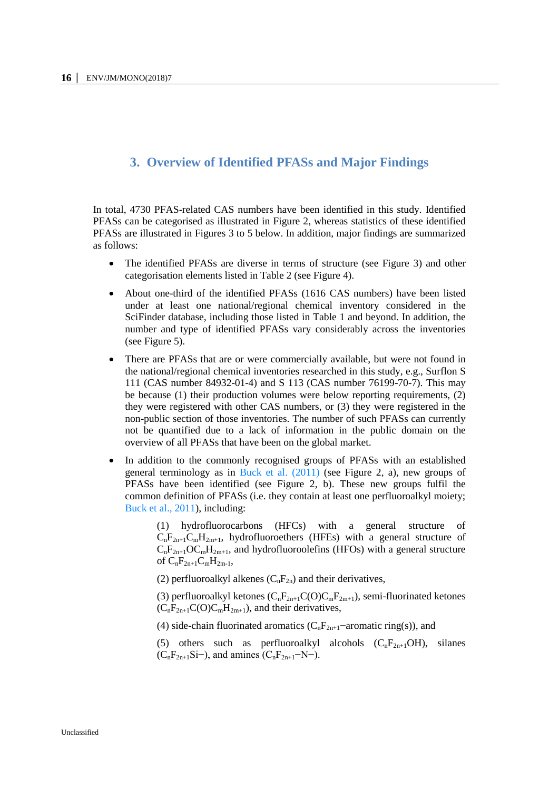# **3. Overview of Identified PFASs and Major Findings**

In total, 4730 PFAS-related CAS numbers have been identified in this study. Identified PFASs can be categorised as illustrated in Figure 2, whereas statistics of these identified PFASs are illustrated in Figures 3 to 5 below. In addition, major findings are summarized as follows:

- The identified PFASs are diverse in terms of structure (see Figure 3) and other categorisation elements listed in Table 2 (see Figure 4).
- About one-third of the identified PFASs (1616 CAS numbers) have been listed under at least one national/regional chemical inventory considered in the SciFinder database, including those listed in Table 1 and beyond. In addition, the number and type of identified PFASs vary considerably across the inventories (see Figure 5).
- There are PFASs that are or were commercially available, but were not found in the national/regional chemical inventories researched in this study, e.g., Surflon S 111 (CAS number 84932-01-4) and S 113 (CAS number 76199-70-7). This may be because (1) their production volumes were below reporting requirements, (2) they were registered with other CAS numbers, or (3) they were registered in the non-public section of those inventories. The number of such PFASs can currently not be quantified due to a lack of information in the public domain on the overview of all PFASs that have been on the global market.
- In addition to the commonly recognised groups of PFASs with an established general terminology as in Buck et al. (2011) (see Figure 2, a), new groups of PFASs have been identified (see Figure 2, b). These new groups fulfil the common definition of PFASs (i.e. they contain at least one perfluoroalkyl moiety; Buck et al., 2011), including:

(1) hydrofluorocarbons (HFCs) with a general structure of  $C_nF_{2n+1}C_mH_{2m+1}$ , hydrofluoroethers (HFEs) with a general structure of  $C_nF_{2n+1}OC_mH_{2m+1}$ , and hydrofluoroolefins (HFOs) with a general structure of  $C_nF_{2n+1}C_mH_{2m-1}$ ,

(2) perfluoroalkyl alkenes  $(C_nF_{2n})$  and their derivatives,

(3) perfluoroalkyl ketones  $(C_nF_{2n+1}C(O)C_mF_{2m+1})$ , semi-fluorinated ketones  $(C_nF_{2n+1}C(O)C_mH_{2m+1})$ , and their derivatives,

(4) side-chain fluorinated aromatics ( $C_nF_{2n+1}$ -aromatic ring(s)), and

(5) others such as perfluoroalkyl alcohols  $(C_nF_{2n+1}OH)$ , silanes  $(C_nF_{2n+1}Si-)$ , and amines  $(C_nF_{2n+1}-N-)$ .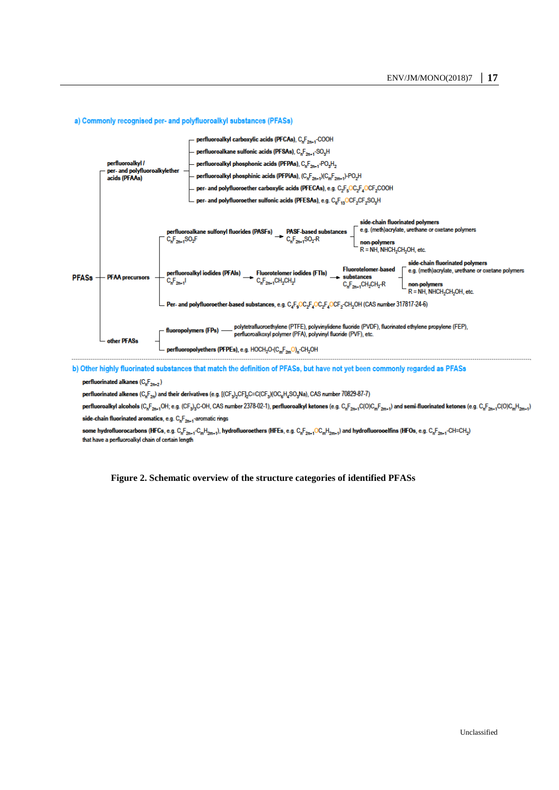



perfluorinated alkanes  $(C_nF_{2n+2})$ 

perfluorinated alkenes (C<sub>n</sub>F<sub>2n</sub>) and their derivatives (e.g. [(CF<sub>3</sub>)<sub>2</sub>CF]<sub>2</sub>C=C(CF<sub>3</sub>)(OC<sub>6</sub>H<sub>4</sub>SO<sub>3</sub>Na), CAS number 70829-87-7)

perfluoroalkyl alcohols (C<sub>n</sub>F<sub>2n+1</sub>OH; e.g. (CF<sub>3</sub>)<sub>S</sub>C-OH, CAS number 2378-02-1), perfluoroalkyl ketones (e.g. C<sub>n</sub>F<sub>2n+1</sub>C(O)C<sub>m</sub>F<sub>2m+1</sub>) and semi-fluorinated ketones (e.g. C<sub>n</sub>F<sub>2n+1</sub>C(O)C<sub>m</sub>H<sub>2m+1</sub>) side-chain fluorinated aromatics, e.g.  $C_nF_{2n+1}$ -aromatic rings

some hydrofluorocarbons (HFCs, e.g.  $C_nF_{2n+1}-C_mH_{2m+1}$ ), hydrofluoroethers (HFEs, e.g.  $C_nF_{2n+1}C_mH_{2m+1}$ ) and hydrofluorooelfins (HFOs, e.g.  $C_nF_{2n+1}C_H=C_{n+1}C_mH_{2m+1}$ that have a perfluoroalkyl chain of certain length

**Figure 2. Schematic overview of the structure categories of identified PFASs**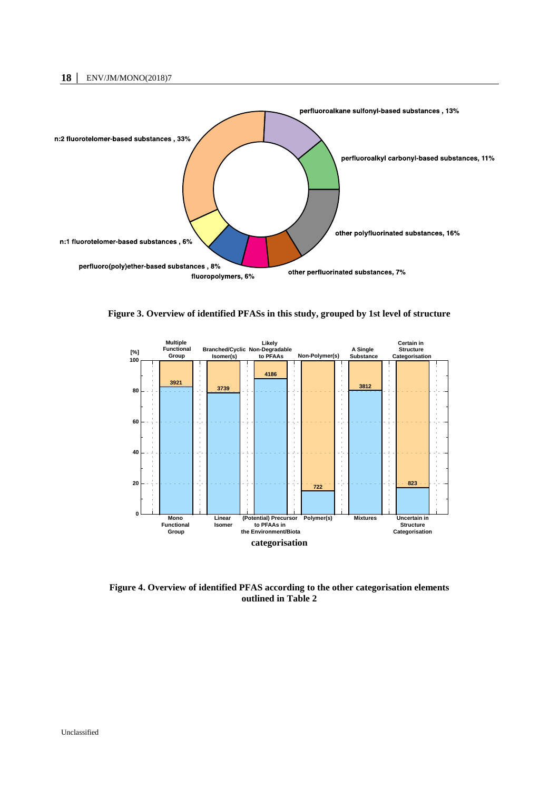#### **18 │** ENV/JM/MONO(2018)7



**Figure 3. Overview of identified PFASs in this study, grouped by 1st level of structure** 



**Figure 4. Overview of identified PFAS according to the other categorisation elements outlined in Table 2**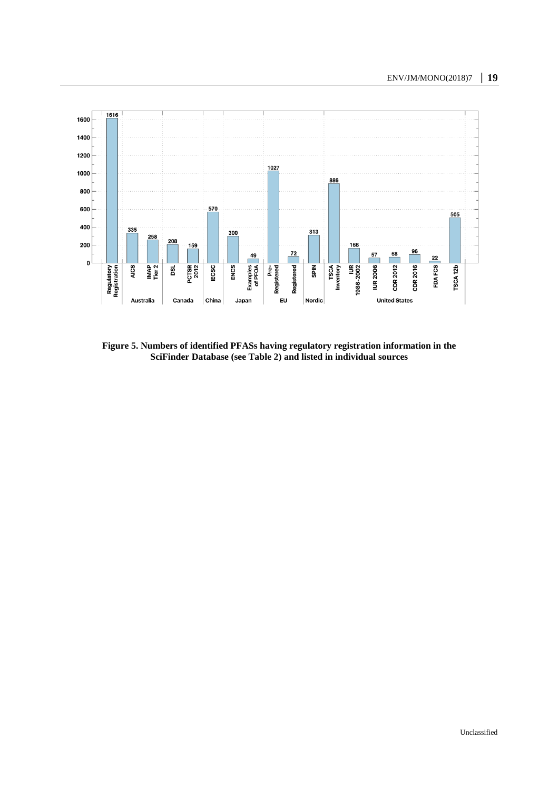

**Figure 5. Numbers of identified PFASs having regulatory registration information in the SciFinder Database (see Table 2) and listed in individual sources**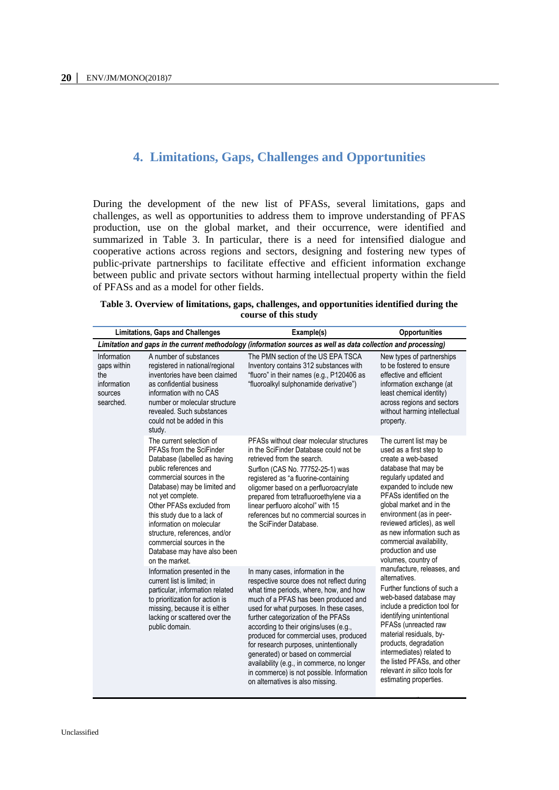# **4. Limitations, Gaps, Challenges and Opportunities**

During the development of the new list of PFASs, several limitations, gaps and challenges, as well as opportunities to address them to improve understanding of PFAS production, use on the global market, and their occurrence, were identified and summarized in Table 3. In particular, there is a need for intensified dialogue and cooperative actions across regions and sectors, designing and fostering new types of public-private partnerships to facilitate effective and efficient information exchange between public and private sectors without harming intellectual property within the field of PFASs and as a model for other fields.

|                                                                          | <b>Limitations, Gaps and Challenges</b>                                                                                                                                                                                                                                                                                                                                                                | Example(s)                                                                                                                                                                                                                                                                                                                                                                                                                                                                                                                                           | Opportunities                                                                                                                                                                                                                                                                                                                                                                                                                                                                                                                                                                                                                                                                                                                                         |  |
|--------------------------------------------------------------------------|--------------------------------------------------------------------------------------------------------------------------------------------------------------------------------------------------------------------------------------------------------------------------------------------------------------------------------------------------------------------------------------------------------|------------------------------------------------------------------------------------------------------------------------------------------------------------------------------------------------------------------------------------------------------------------------------------------------------------------------------------------------------------------------------------------------------------------------------------------------------------------------------------------------------------------------------------------------------|-------------------------------------------------------------------------------------------------------------------------------------------------------------------------------------------------------------------------------------------------------------------------------------------------------------------------------------------------------------------------------------------------------------------------------------------------------------------------------------------------------------------------------------------------------------------------------------------------------------------------------------------------------------------------------------------------------------------------------------------------------|--|
|                                                                          |                                                                                                                                                                                                                                                                                                                                                                                                        |                                                                                                                                                                                                                                                                                                                                                                                                                                                                                                                                                      | Limitation and gaps in the current methodology (information sources as well as data collection and processing)                                                                                                                                                                                                                                                                                                                                                                                                                                                                                                                                                                                                                                        |  |
| Information<br>gaps within<br>the<br>information<br>sources<br>searched. | A number of substances<br>registered in national/regional<br>inventories have been claimed<br>as confidential business<br>information with no CAS<br>number or molecular structure<br>revealed. Such substances<br>could not be added in this<br>study.                                                                                                                                                | The PMN section of the US EPA TSCA<br>Inventory contains 312 substances with<br>"fluoro" in their names (e.g., P120406 as<br>"fluoroalkyl sulphonamide derivative")                                                                                                                                                                                                                                                                                                                                                                                  | New types of partnerships<br>to be fostered to ensure<br>effective and efficient<br>information exchange (at<br>least chemical identity)<br>across regions and sectors<br>without harming intellectual<br>property.                                                                                                                                                                                                                                                                                                                                                                                                                                                                                                                                   |  |
|                                                                          | The current selection of<br>PFASs from the SciFinder<br>Database (labelled as having<br>public references and<br>commercial sources in the<br>Database) may be limited and<br>not yet complete.<br>Other PFASs excluded from<br>this study due to a lack of<br>information on molecular<br>structure, references, and/or<br>commercial sources in the<br>Database may have also been<br>on the market. | PFASs without clear molecular structures<br>in the SciFinder Database could not be<br>retrieved from the search.<br>Surflon (CAS No. 77752-25-1) was<br>registered as "a fluorine-containing<br>oligomer based on a perfluoroacrylate<br>prepared from tetrafluoroethylene via a<br>linear perfluoro alcohol" with 15<br>references but no commercial sources in<br>the SciFinder Database.                                                                                                                                                          | The current list may be<br>used as a first step to<br>create a web-based<br>database that may be<br>regularly updated and<br>expanded to include new<br>PFASs identified on the<br>global market and in the<br>environment (as in peer-<br>reviewed articles), as well<br>as new information such as<br>commercial availability,<br>production and use<br>volumes, country of<br>manufacture, releases, and<br>alternatives.<br>Further functions of such a<br>web-based database may<br>include a prediction tool for<br>identifying unintentional<br>PFASs (unreacted raw<br>material residuals, by-<br>products, degradation<br>intermediates) related to<br>the listed PFASs, and other<br>relevant in silico tools for<br>estimating properties. |  |
|                                                                          | Information presented in the<br>current list is limited; in<br>particular, information related<br>to prioritization for action is<br>missing, because it is either<br>lacking or scattered over the<br>public domain.                                                                                                                                                                                  | In many cases, information in the<br>respective source does not reflect during<br>what time periods, where, how, and how<br>much of a PFAS has been produced and<br>used for what purposes. In these cases,<br>further categorization of the PFASs<br>according to their origins/uses (e.g.,<br>produced for commercial uses, produced<br>for research purposes, unintentionally<br>generated) or based on commercial<br>availability (e.g., in commerce, no longer<br>in commerce) is not possible. Information<br>on alternatives is also missing. |                                                                                                                                                                                                                                                                                                                                                                                                                                                                                                                                                                                                                                                                                                                                                       |  |

ppppproperties.

|  |                      | Table 3. Overview of limitations, gaps, challenges, and opportunities identified during the |
|--|----------------------|---------------------------------------------------------------------------------------------|
|  | course of this study |                                                                                             |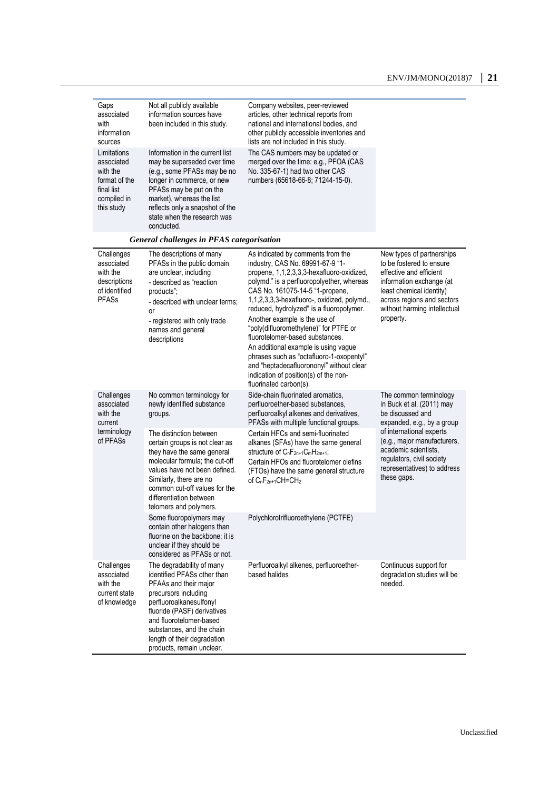| Gaps<br>associated<br>with<br>information<br>sources                                              | Not all publicly available<br>information sources have<br>been included in this study.                                                                                                                                                                                                  | Company websites, peer-reviewed<br>articles, other technical reports from<br>national and international bodies, and<br>other publicly accessible inventories and<br>lists are not included in this study.                                                                                                                                                                                                                                                                                                                                                                                                     |                                                                                                                                                                                                                     |  |
|---------------------------------------------------------------------------------------------------|-----------------------------------------------------------------------------------------------------------------------------------------------------------------------------------------------------------------------------------------------------------------------------------------|---------------------------------------------------------------------------------------------------------------------------------------------------------------------------------------------------------------------------------------------------------------------------------------------------------------------------------------------------------------------------------------------------------------------------------------------------------------------------------------------------------------------------------------------------------------------------------------------------------------|---------------------------------------------------------------------------------------------------------------------------------------------------------------------------------------------------------------------|--|
| Limitations<br>associated<br>with the<br>format of the<br>final list<br>compiled in<br>this study | Information in the current list<br>may be superseded over time<br>(e.g., some PFASs may be no<br>longer in commerce, or new<br>PFASs may be put on the<br>market), whereas the list<br>reflects only a snapshot of the<br>state when the research was<br>conducted.                     | The CAS numbers may be updated or<br>merged over the time: e.g., PFOA (CAS<br>No. 335-67-1) had two other CAS<br>numbers (65618-66-8; 71244-15-0).                                                                                                                                                                                                                                                                                                                                                                                                                                                            |                                                                                                                                                                                                                     |  |
|                                                                                                   | <b>General challenges in PFAS categorisation</b>                                                                                                                                                                                                                                        |                                                                                                                                                                                                                                                                                                                                                                                                                                                                                                                                                                                                               |                                                                                                                                                                                                                     |  |
| Challenges<br>associated<br>with the<br>descriptions<br>of identified<br><b>PFASs</b>             | The descriptions of many<br>PFASs in the public domain<br>are unclear, including<br>- described as "reaction<br>products";<br>- described with unclear terms;<br>or<br>- registered with only trade<br>names and general<br>descriptions                                                | As indicated by comments from the<br>industry, CAS No. 69991-67-9 "1-<br>propene, 1,1,2,3,3,3-hexafluoro-oxidized,<br>polymd." is a perfluoropolyether, whereas<br>CAS No. 161075-14-5 "1-propene,<br>1,1,2,3,3,3-hexafluoro-, oxidized, polymd.,<br>reduced, hydrolyzed" is a fluoropolymer.<br>Another example is the use of<br>"poly(difluoromethylene)" for PTFE or<br>fluorotelomer-based substances.<br>An additional example is using vague<br>phrases such as "octafluoro-1-oxopentyl"<br>and "heptadecafluorononyl" without clear<br>indication of position(s) of the non-<br>fluorinated carbon(s). | New types of partnerships<br>to be fostered to ensure<br>effective and efficient<br>information exchange (at<br>least chemical identity)<br>across regions and sectors<br>without harming intellectual<br>property. |  |
| Challenges<br>associated<br>with the<br>current                                                   | No common terminology for<br>newly identified substance<br>groups.                                                                                                                                                                                                                      | Side-chain fluorinated aromatics,<br>perfluoroether-based substances,<br>perfluoroalkyl alkenes and derivatives,<br>PFASs with multiple functional groups.                                                                                                                                                                                                                                                                                                                                                                                                                                                    | The common terminology<br>in Buck et al. (2011) may<br>be discussed and<br>expanded, e.g., by a group                                                                                                               |  |
| terminology<br>of PFASs                                                                           | The distinction between<br>certain groups is not clear as<br>they have the same general<br>molecular formula; the cut-off<br>values have not been defined.<br>Similarly, there are no<br>common cut-off values for the<br>differentiation between<br>telomers and polymers.             | Certain HFCs and semi-fluorinated<br>alkanes (SFAs) have the same general<br>structure of C <sub>n</sub> F <sub>2n+1</sub> C <sub>m</sub> H <sub>2m+1</sub> ;<br>Certain HFOs and fluorotelomer olefins<br>(FTOs) have the same general structure<br>of $C_nF_{2n+1}CH=CH_2$                                                                                                                                                                                                                                                                                                                                  | of international experts<br>(e.g., major manufacturers,<br>academic scientists,<br>regulators, civil society<br>representatives) to address<br>these gaps.                                                          |  |
|                                                                                                   | Some fluoropolymers may<br>contain other halogens than<br>fluorine on the backbone; it is<br>unclear if they should be<br>considered as PFASs or not.                                                                                                                                   | Polychlorotrifluoroethylene (PCTFE)                                                                                                                                                                                                                                                                                                                                                                                                                                                                                                                                                                           |                                                                                                                                                                                                                     |  |
| Challenges<br>associated<br>with the<br>current state<br>of knowledge                             | The degradability of many<br>identified PFASs other than<br>PFAAs and their major<br>precursors including<br>perfluoroalkanesulfonyl<br>fluoride (PASF) derivatives<br>and fluorotelomer-based<br>substances, and the chain<br>length of their degradation<br>products, remain unclear. | Perfluoroalkyl alkenes, perfluoroether-<br>based halides                                                                                                                                                                                                                                                                                                                                                                                                                                                                                                                                                      | Continuous support for<br>degradation studies will be<br>needed.                                                                                                                                                    |  |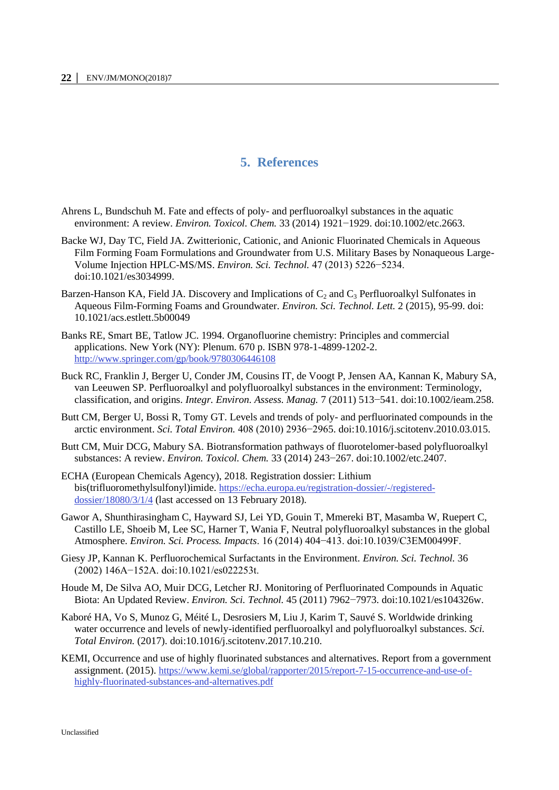# **5. References**

- Ahrens L, Bundschuh M. Fate and effects of poly‐ and perfluoroalkyl substances in the aquatic environment: A review. *Environ. Toxicol. Chem.* 33 (2014) 1921−1929. doi:10.1002/etc.2663.
- Backe WJ, Day TC, Field JA. Zwitterionic, Cationic, and Anionic Fluorinated Chemicals in Aqueous Film Forming Foam Formulations and Groundwater from U.S. Military Bases by Nonaqueous Large-Volume Injection HPLC-MS/MS. *Environ. Sci. Technol.* 47 (2013) 5226−5234. doi:10.1021/es3034999.
- Barzen-Hanson KA, Field JA. Discovery and Implications of  $C_2$  and  $C_3$  Perfluoroalkyl Sulfonates in Aqueous Film-Forming Foams and Groundwater. *Environ. Sci. Technol. Lett.* 2 (2015), 95-99. doi: 10.1021/acs.estlett.5b00049
- Banks RE, Smart BE, Tatlow JC. 1994. Organofluorine chemistry: Principles and commercial applications. New York (NY): Plenum. 670 p. ISBN 978-1-4899-1202-2. <http://www.springer.com/gp/book/9780306446108>
- Buck RC, Franklin J, Berger U, Conder JM, Cousins IT, de Voogt P, Jensen AA, Kannan K, Mabury SA, van Leeuwen SP. Perfluoroalkyl and polyfluoroalkyl substances in the environment: Terminology, classification, and origins. *Integr. Environ. Assess. Manag.* 7 (2011) 513−541. doi:10.1002/ieam.258.
- Butt CM, Berger U, Bossi R, Tomy GT. Levels and trends of poly- and perfluorinated compounds in the arctic environment. *Sci. Total Environ.* 408 (2010) 2936−2965. doi:10.1016/j.scitotenv.2010.03.015.
- Butt CM, Muir DCG, Mabury SA. Biotransformation pathways of fluorotelomer-based polyfluoroalkyl substances: A review. *Environ. Toxicol. Chem.* 33 (2014) 243−267. doi:10.1002/etc.2407.
- ECHA (European Chemicals Agency), 2018. Registration dossier: Lithium bis(trifluoromethylsulfonyl)imide. [https://echa.europa.eu/registration-dossier/-/registered](https://echa.europa.eu/registration-dossier/-/registered-dossier/18080/3/1/4)[dossier/18080/3/1/4](https://echa.europa.eu/registration-dossier/-/registered-dossier/18080/3/1/4) (last accessed on 13 February 2018).
- Gawor A, Shunthirasingham C, Hayward SJ, Lei YD, Gouin T, Mmereki BT, Masamba W, Ruepert C, Castillo LE, Shoeib M, Lee SC, Harner T, Wania F, Neutral polyfluoroalkyl substances in the global Atmosphere. *Environ. Sci. Process. Impacts*. 16 (2014) 404−413. doi:10.1039/C3EM00499F.
- Giesy JP, Kannan K. Perfluorochemical Surfactants in the Environment. *Environ. Sci. Technol.* 36 (2002) 146A−152A. doi:10.1021/es022253t.
- Houde M, De Silva AO, Muir DCG, Letcher RJ. Monitoring of Perfluorinated Compounds in Aquatic Biota: An Updated Review. *Environ. Sci. Technol.* 45 (2011) 7962−7973. doi:10.1021/es104326w.
- Kaboré HA, Vo S, Munoz G, Méité L, Desrosiers M, Liu J, Karim T, Sauvé S. Worldwide drinking water occurrence and levels of newly-identified perfluoroalkyl and polyfluoroalkyl substances. *Sci. Total Environ.* (2017). doi:10.1016/j.scitotenv.2017.10.210.
- KEMI, Occurrence and use of highly fluorinated substances and alternatives. Report from a government assignment. (2015). [https://www.kemi.se/global/rapporter/2015/report-7-15-occurrence-and-use-of](https://www.kemi.se/global/rapporter/2015/report-7-15-occurrence-and-use-of-highly-fluorinated-substances-and-alternatives.pdf)[highly-fluorinated-substances-and-alternatives.pdf](https://www.kemi.se/global/rapporter/2015/report-7-15-occurrence-and-use-of-highly-fluorinated-substances-and-alternatives.pdf)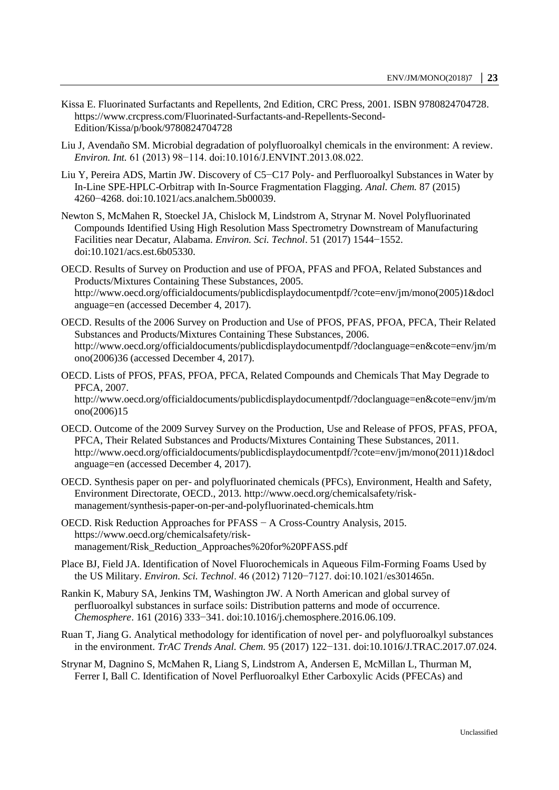- Kissa E. Fluorinated Surfactants and Repellents, 2nd Edition, CRC Press, 2001. ISBN 9780824704728. [https://www.crcpress.com/Fluorinated-Surfactants-and-Repellents-Second-](https://www.crcpress.com/Fluorinated-Surfactants-and-Repellents-Second-Edition/Kissa/p/book/9780824704728)[Edition/Kissa/p/book/9780824704728](https://www.crcpress.com/Fluorinated-Surfactants-and-Repellents-Second-Edition/Kissa/p/book/9780824704728)
- Liu J, Avendaño SM. Microbial degradation of polyfluoroalkyl chemicals in the environment: A review. *Environ. Int.* 61 (2013) 98−114. doi:10.1016/J.ENVINT.2013.08.022.
- Liu Y, Pereira ADS, Martin JW. Discovery of C5−C17 Poly- and Perfluoroalkyl Substances in Water by In-Line SPE-HPLC-Orbitrap with In-Source Fragmentation Flagging. *Anal. Chem.* 87 (2015) 4260−4268. doi:10.1021/acs.analchem.5b00039.
- Newton S, McMahen R, Stoeckel JA, Chislock M, Lindstrom A, Strynar M. Novel Polyfluorinated Compounds Identified Using High Resolution Mass Spectrometry Downstream of Manufacturing Facilities near Decatur, Alabama. *Environ. Sci. Technol*. 51 (2017) 1544−1552. doi:10.1021/acs.est.6b05330.
- OECD. Results of Survey on Production and use of PFOA, PFAS and PFOA, Related Substances and Products/Mixtures Containing These Substances, 2005. http://www.oecd.org/officialdocuments/publicdisplaydocumentpdf/?cote=env/jm/mono(2005)1&docl anguage=en (accessed December 4, 2017).
- OECD. Results of the 2006 Survey on Production and Use of PFOS, PFAS, PFOA, PFCA, Their Related Substances and Products/Mixtures Containing These Substances, 2006. http://www.oecd.org/officialdocuments/publicdisplaydocumentpdf/?doclanguage=en&cote=env/jm/m ono(2006)36 (accessed December 4, 2017).
- OECD. Lists of PFOS, PFAS, PFOA, PFCA, Related Compounds and Chemicals That May Degrade to PFCA, 2007. http://www.oecd.org/officialdocuments/publicdisplaydocumentpdf/?doclanguage=en&cote=env/jm/m ono(2006)15
- OECD. Outcome of the 2009 Survey Survey on the Production, Use and Release of PFOS, PFAS, PFOA, PFCA, Their Related Substances and Products/Mixtures Containing These Substances, 2011. http://www.oecd.org/officialdocuments/publicdisplaydocumentpdf/?cote=env/jm/mono(2011)1&docl anguage=en (accessed December 4, 2017).
- OECD. Synthesis paper on per- and polyfluorinated chemicals (PFCs), Environment, Health and Safety, Environment Directorate, OECD., 2013. [http://www.oecd.org/chemicalsafety/risk](http://www.oecd.org/chemicalsafety/risk-management/synthesis-paper-on-per-and-polyfluorinated-chemicals.htm)[management/synthesis-paper-on-per-and-polyfluorinated-chemicals.htm](http://www.oecd.org/chemicalsafety/risk-management/synthesis-paper-on-per-and-polyfluorinated-chemicals.htm)
- OECD. Risk Reduction Approaches for PFASS − A Cross-Country Analysis, 2015. https://www.oecd.org/chemicalsafety/riskmanagement/Risk\_Reduction\_Approaches%20for%20PFASS.pdf
- Place BJ, Field JA. Identification of Novel Fluorochemicals in Aqueous Film-Forming Foams Used by the US Military. *Environ. Sci. Technol*. 46 (2012) 7120−7127. doi:10.1021/es301465n.
- Rankin K, Mabury SA, Jenkins TM, Washington JW. A North American and global survey of perfluoroalkyl substances in surface soils: Distribution patterns and mode of occurrence. *Chemosphere*. 161 (2016) 333−341. doi:10.1016/j.chemosphere.2016.06.109.
- Ruan T, Jiang G. Analytical methodology for identification of novel per- and polyfluoroalkyl substances in the environment. *TrAC Trends Anal. Chem.* 95 (2017) 122−131. doi:10.1016/J.TRAC.2017.07.024.
- Strynar M, Dagnino S, McMahen R, Liang S, Lindstrom A, Andersen E, McMillan L, Thurman M, Ferrer I, Ball C. Identification of Novel Perfluoroalkyl Ether Carboxylic Acids (PFECAs) and